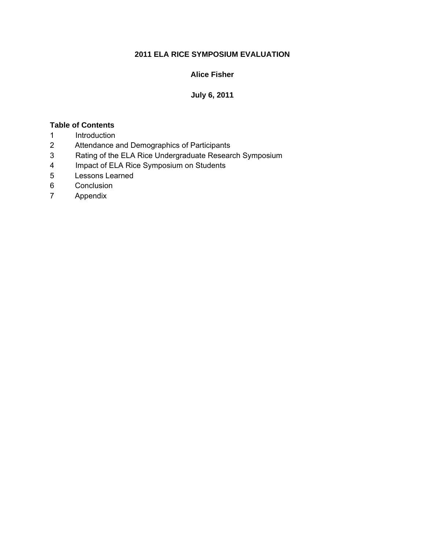#### **2011 ELA RICE SYMPOSIUM EVALUATION**

#### **Alice Fisher**

#### **July 6, 2011**

#### **Table of Contents**

- 1 Introduction
- 2 Attendance and Demographics of Participants
- 3 Rating of the ELA Rice Undergraduate Research Symposium
- 4 Impact of ELA Rice Symposium on Students
- 5 Lessons Learned
- 6 Conclusion
- 7 Appendix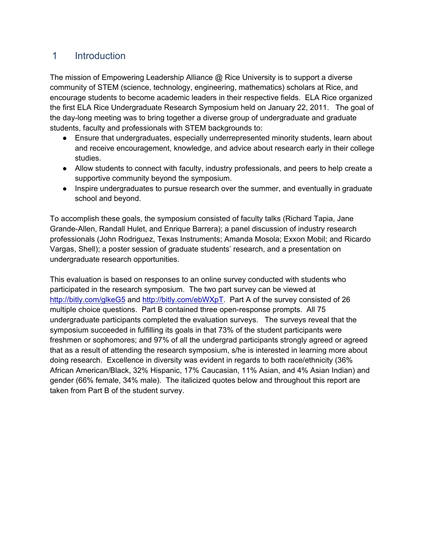### 1 Introduction

The mission of Empowering Leadership Alliance @ Rice University is to support a diverse community of STEM (science, technology, engineering, mathematics) scholars at Rice, and encourage students to become academic leaders in their respective fields. ELA Rice organized the first ELA Rice Undergraduate Research Symposium held on January 22, 2011. The goal of the day-long meeting was to bring together a diverse group of undergraduate and graduate students, faculty and professionals with STEM backgrounds to:

- Ensure that undergraduates, especially underrepresented minority students, learn about and receive encouragement, knowledge, and advice about research early in their college studies.
- Allow students to connect with faculty, industry professionals, and peers to help create a supportive community beyond the symposium.
- Inspire undergraduates to pursue research over the summer, and eventually in graduate school and beyond.

To accomplish these goals, the symposium consisted of faculty talks (Richard Tapia, Jane Grande-Allen, Randall Hulet, and Enrique Barrera); a panel discussion of industry research professionals (John Rodriguez, Texas Instruments; Amanda Mosola; Exxon Mobil; and Ricardo Vargas, Shell); a poster session of graduate students' research, and a presentation on undergraduate research opportunities.

This evaluation is based on responses to an online survey conducted with students who participated in the research symposium. The two part survey can be viewed at <http://bitly.com/glkeG5>and [http://bitly.com/ebWXpT.](http://bitly.com/ebWXpT) Part A of the survey consisted of 26 multiple choice questions. Part B contained three open-response prompts. All 75 undergraduate participants completed the evaluation surveys. The surveys reveal that the symposium succeeded in fulfilling its goals in that 73% of the student participants were freshmen or sophomores; and 97% of all the undergrad participants strongly agreed or agreed that as a result of attending the research symposium, s/he is interested in learning more about doing research. Excellence in diversity was evident in regards to both race/ethnicity (36% African American/Black, 32% Hispanic, 17% Caucasian, 11% Asian, and 4% Asian Indian) and gender (66% female, 34% male). The italicized quotes below and throughout this report are taken from Part B of the student survey.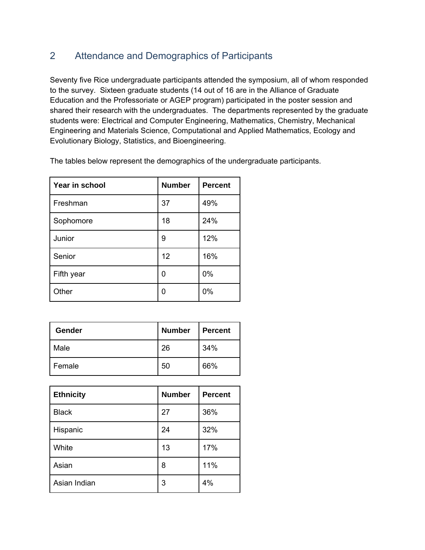### 2 Attendance and Demographics of Participants

Seventy five Rice undergraduate participants attended the symposium, all of whom responded to the survey. Sixteen graduate students (14 out of 16 are in the Alliance of Graduate Education and the Professoriate or AGEP program) participated in the poster session and shared their research with the undergraduates. The departments represented by the graduate students were: Electrical and Computer Engineering, Mathematics, Chemistry, Mechanical Engineering and Materials Science, Computational and Applied Mathematics, Ecology and Evolutionary Biology, Statistics, and Bioengineering.

| Year in school | <b>Number</b> | <b>Percent</b> |
|----------------|---------------|----------------|
| Freshman       | 37            | 49%            |
| Sophomore      | 18            | 24%            |
| Junior         | 9             | 12%            |
| Senior         | 12            | 16%            |
| Fifth year     | 0             | 0%             |
| Other          | 0             | 0%             |

The tables below represent the demographics of the undergraduate participants.

| Gender | <b>Number</b> | <b>Percent</b> |  |
|--------|---------------|----------------|--|
| Male   | 26            | 34%            |  |
| Female | 50            | 66%            |  |

| <b>Ethnicity</b> | <b>Number</b> | <b>Percent</b> |
|------------------|---------------|----------------|
| <b>Black</b>     | 27            | 36%            |
| Hispanic         | 24            | 32%            |
| White            | 13            | 17%            |
| Asian            | 8             | 11%            |
| Asian Indian     | 3             | 4%             |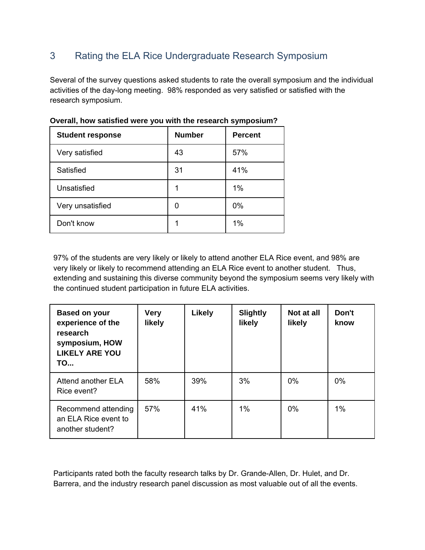## 3 Rating the ELA Rice Undergraduate Research Symposium

Several of the survey questions asked students to rate the overall symposium and the individual activities of the day-long meeting. 98% responded as very satisfied or satisfied with the research symposium.

| <b>Student response</b> | <b>Number</b> | <b>Percent</b> |
|-------------------------|---------------|----------------|
| Very satisfied          | 43            | 57%            |
| Satisfied               | 31            | 41%            |
| Unsatisfied             |               | $1\%$          |
| Very unsatisfied        | 0             | 0%             |
| Don't know              |               | 1%             |

**Overall, how satisfied were you with the research symposium?** 

97% of the students are very likely or likely to attend another ELA Rice event, and 98% are very likely or likely to recommend attending an ELA Rice event to another student. Thus, extending and sustaining this diverse community beyond the symposium seems very likely with the continued student participation in future ELA activities.

| <b>Based on your</b><br>experience of the<br>research<br>symposium, HOW<br><b>LIKELY ARE YOU</b><br><b>TO</b> | <b>Very</b><br>likely | <b>Likely</b> | <b>Slightly</b><br>likely | Not at all<br>likely | Don't<br>know |
|---------------------------------------------------------------------------------------------------------------|-----------------------|---------------|---------------------------|----------------------|---------------|
| Attend another ELA<br>Rice event?                                                                             | 58%                   | 39%           | 3%                        | $0\%$                | 0%            |
| Recommend attending<br>an ELA Rice event to<br>another student?                                               | 57%                   | 41%           | 1%                        | $0\%$                | 1%            |

Participants rated both the faculty research talks by Dr. Grande-Allen, Dr. Hulet, and Dr. Barrera, and the industry research panel discussion as most valuable out of all the events.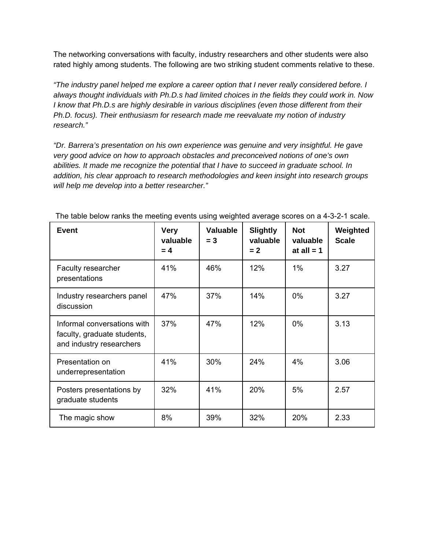The networking conversations with faculty, industry researchers and other students were also rated highly among students. The following are two striking student comments relative to these.

*"The industry panel helped me explore a career option that I never really considered before. I always thought individuals with Ph.D.s had limited choices in the fields they could work in. Now I know that Ph.D.s are highly desirable in various disciplines (even those different from their Ph.D. focus). Their enthusiasm for research made me reevaluate my notion of industry research."* 

*"Dr. Barrera's presentation on his own experience was genuine and very insightful. He gave very good advice on how to approach obstacles and preconceived notions of one's own abilities. It made me recognize the potential that I have to succeed in graduate school. In addition, his clear approach to research methodologies and keen insight into research groups will help me develop into a better researcher."* 

| <b>Event</b>                                                                           | <b>Very</b><br>valuable<br>$= 4$ | <b>Valuable</b><br>$= 3$ | <b>Slightly</b><br>valuable<br>$= 2$ | <b>Not</b><br>valuable<br>at all $= 1$ | Weighted<br><b>Scale</b> |
|----------------------------------------------------------------------------------------|----------------------------------|--------------------------|--------------------------------------|----------------------------------------|--------------------------|
| Faculty researcher<br>presentations                                                    | 41%                              | 46%                      | 12%                                  | $1\%$                                  | 3.27                     |
| Industry researchers panel<br>discussion                                               | 47%                              | 37%                      | 14%                                  | $0\%$                                  | 3.27                     |
| Informal conversations with<br>faculty, graduate students,<br>and industry researchers | 37%                              | 47%                      | 12%                                  | $0\%$                                  | 3.13                     |
| Presentation on<br>underrepresentation                                                 | 41%                              | 30%                      | 24%                                  | 4%                                     | 3.06                     |
| Posters presentations by<br>graduate students                                          | 32%                              | 41%                      | 20%                                  | 5%                                     | 2.57                     |
| The magic show                                                                         | 8%                               | 39%                      | 32%                                  | 20%                                    | 2.33                     |

The table below ranks the meeting events using weighted average scores on a 4-3-2-1 scale.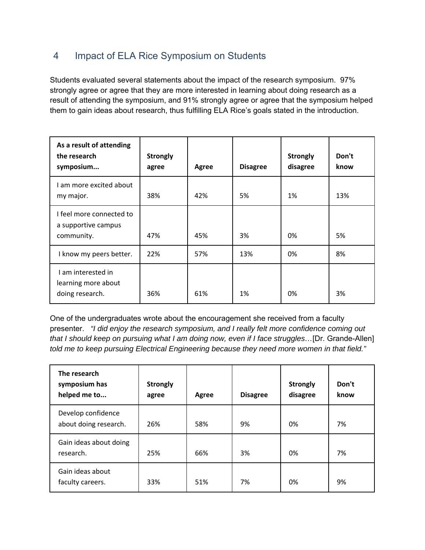### 4 Impact of ELA Rice Symposium on Students

Students evaluated several statements about the impact of the research symposium. 97% strongly agree or agree that they are more interested in learning about doing research as a result of attending the symposium, and 91% strongly agree or agree that the symposium helped them to gain ideas about research, thus fulfilling ELA Rice's goals stated in the introduction.

| As a result of attending<br>the research<br>symposium         | <b>Strongly</b><br>agree | Agree | <b>Disagree</b> | <b>Strongly</b><br>disagree | Don't<br>know |
|---------------------------------------------------------------|--------------------------|-------|-----------------|-----------------------------|---------------|
| I am more excited about<br>my major.                          | 38%                      | 42%   | 5%              | 1%                          | 13%           |
| I feel more connected to<br>a supportive campus<br>community. | 47%                      | 45%   | 3%              | 0%                          | 5%            |
| I know my peers better.                                       | 22%                      | 57%   | 13%             | 0%                          | 8%            |
| I am interested in<br>learning more about<br>doing research.  | 36%                      | 61%   | 1%              | 0%                          | 3%            |

One of the undergraduates wrote about the encouragement she received from a faculty presenter. *"I did enjoy the research symposium, and I really felt more confidence coming out that I should keep on pursuing what I am doing now, even if I face struggles…*[Dr. Grande-Allen] *told me to keep pursuing Electrical Engineering because they need more women in that field."* 

| The research<br>symposium has<br>helped me to | <b>Strongly</b><br>agree | Agree | <b>Disagree</b> | <b>Strongly</b><br>disagree | Don't<br>know |
|-----------------------------------------------|--------------------------|-------|-----------------|-----------------------------|---------------|
| Develop confidence<br>about doing research.   | 26%                      | 58%   | 9%              | 0%                          | 7%            |
| Gain ideas about doing<br>research.           | 25%                      | 66%   | 3%              | 0%                          | 7%            |
| Gain ideas about<br>faculty careers.          | 33%                      | 51%   | 7%              | 0%                          | 9%            |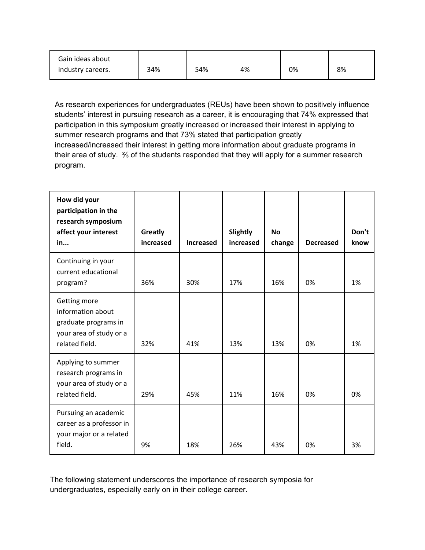| Gain ideas about  |     |     |    |    |    |
|-------------------|-----|-----|----|----|----|
| industry careers. | 34% | 54% | 4% | 0% | 8% |

As research experiences for undergraduates (REUs) have been shown to positively influence students' interest in pursuing research as a career, it is encouraging that 74% expressed that participation in this symposium greatly increased or increased their interest in applying to summer research programs and that 73% stated that participation greatly increased/increased their interest in getting more information about graduate programs in their area of study. ⅔ of the students responded that they will apply for a summer research program.

| How did your<br>participation in the<br>research symposium                                             |                      |                  |                              |                     |                  |               |
|--------------------------------------------------------------------------------------------------------|----------------------|------------------|------------------------------|---------------------|------------------|---------------|
| affect your interest<br>in                                                                             | Greatly<br>increased | <b>Increased</b> | <b>Slightly</b><br>increased | <b>No</b><br>change | <b>Decreased</b> | Don't<br>know |
| Continuing in your<br>current educational<br>program?                                                  | 36%                  | 30%              | 17%                          | 16%                 | 0%               | 1%            |
| Getting more<br>information about<br>graduate programs in<br>your area of study or a<br>related field. | 32%                  | 41%              | 13%                          | 13%                 | 0%               | 1%            |
| Applying to summer<br>research programs in<br>your area of study or a<br>related field.                | 29%                  | 45%              | 11%                          | 16%                 | 0%               | 0%            |
| Pursuing an academic<br>career as a professor in<br>your major or a related<br>field.                  | 9%                   | 18%              | 26%                          | 43%                 | 0%               | 3%            |

The following statement underscores the importance of research symposia for undergraduates, especially early on in their college career.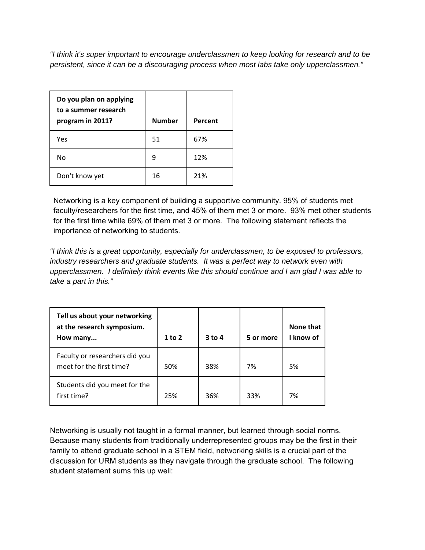*"I think it's super important to encourage underclassmen to keep looking for research and to be persistent, since it can be a discouraging process when most labs take only upperclassmen."*

| Do you plan on applying<br>to a summer research<br>program in 2011? | <b>Number</b> | Percent |
|---------------------------------------------------------------------|---------------|---------|
| Yes                                                                 | 51            | 67%     |
| No                                                                  | 9             | 12%     |
| Don't know yet                                                      | 16            | 21%     |

Networking is a key component of building a supportive community. 95% of students met faculty/researchers for the first time, and 45% of them met 3 or more. 93% met other students for the first time while 69% of them met 3 or more. The following statement reflects the importance of networking to students.

*"I think this is a great opportunity, especially for underclassmen, to be exposed to professors, industry researchers and graduate students. It was a perfect way to network even with upperclassmen. I definitely think events like this should continue and I am glad I was able to take a part in this."* 

| Tell us about your networking<br>at the research symposium.<br>How many | $1$ to $2$ | $3$ to 4 | 5 or more | None that<br>I know of |
|-------------------------------------------------------------------------|------------|----------|-----------|------------------------|
| Faculty or researchers did you<br>meet for the first time?              | 50%        | 38%      | 7%        | 5%                     |
| Students did you meet for the<br>first time?                            | 25%        | 36%      | 33%       | 7%                     |

Networking is usually not taught in a formal manner, but learned through social norms. Because many students from traditionally underrepresented groups may be the first in their family to attend graduate school in a STEM field, networking skills is a crucial part of the discussion for URM students as they navigate through the graduate school. The following student statement sums this up well: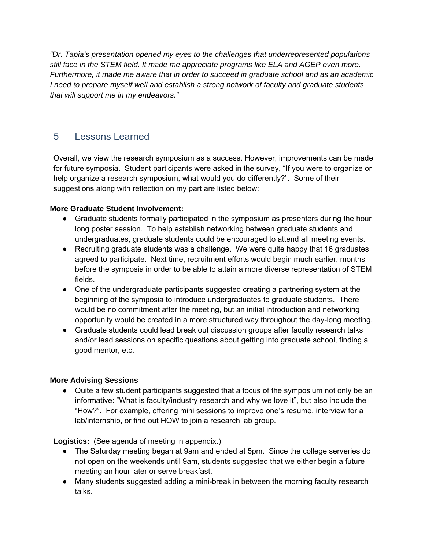*"Dr. Tapia's presentation opened my eyes to the challenges that underrepresented populations still face in the STEM field. It made me appreciate programs like ELA and AGEP even more. Furthermore, it made me aware that in order to succeed in graduate school and as an academic I need to prepare myself well and establish a strong network of faculty and graduate students that will support me in my endeavors."* 

### 5 Lessons Learned

Overall, we view the research symposium as a success. However, improvements can be made for future symposia. Student participants were asked in the survey, "If you were to organize or help organize a research symposium, what would you do differently?". Some of their suggestions along with reflection on my part are listed below:

#### **More Graduate Student Involvement:**

- Graduate students formally participated in the symposium as presenters during the hour long poster session. To help establish networking between graduate students and undergraduates, graduate students could be encouraged to attend alI meeting events.
- Recruiting graduate students was a challenge. We were quite happy that 16 graduates agreed to participate. Next time, recruitment efforts would begin much earlier, months before the symposia in order to be able to attain a more diverse representation of STEM fields.
- One of the undergraduate participants suggested creating a partnering system at the beginning of the symposia to introduce undergraduates to graduate students. There would be no commitment after the meeting, but an initial introduction and networking opportunity would be created in a more structured way throughout the day-long meeting.
- Graduate students could lead break out discussion groups after faculty research talks and/or lead sessions on specific questions about getting into graduate school, finding a good mentor, etc.

### **More Advising Sessions**

• Quite a few student participants suggested that a focus of the symposium not only be an informative: "What is faculty/industry research and why we love it", but also include the "How?". For example, offering mini sessions to improve one's resume, interview for a lab/internship, or find out HOW to join a research lab group.

### **Logistics:** (See agenda of meeting in appendix.)

- The Saturday meeting began at 9am and ended at 5pm. Since the college serveries do not open on the weekends until 9am, students suggested that we either begin a future meeting an hour later or serve breakfast.
- Many students suggested adding a mini-break in between the morning faculty research talks.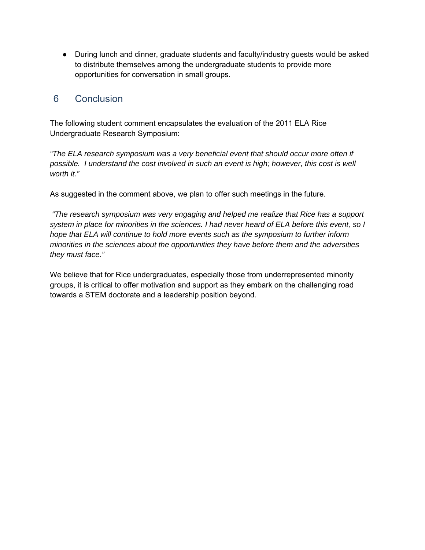• During lunch and dinner, graduate students and faculty/industry guests would be asked to distribute themselves among the undergraduate students to provide more opportunities for conversation in small groups.

### 6 Conclusion

The following student comment encapsulates the evaluation of the 2011 ELA Rice Undergraduate Research Symposium:

*"The ELA research symposium was a very beneficial event that should occur more often if possible. I understand the cost involved in such an event is high; however, this cost is well worth it."* 

As suggested in the comment above, we plan to offer such meetings in the future.

*"The research symposium was very engaging and helped me realize that Rice has a support system in place for minorities in the sciences. I had never heard of ELA before this event, so I hope that ELA will continue to hold more events such as the symposium to further inform minorities in the sciences about the opportunities they have before them and the adversities they must face."* 

We believe that for Rice undergraduates, especially those from underrepresented minority groups, it is critical to offer motivation and support as they embark on the challenging road towards a STEM doctorate and a leadership position beyond.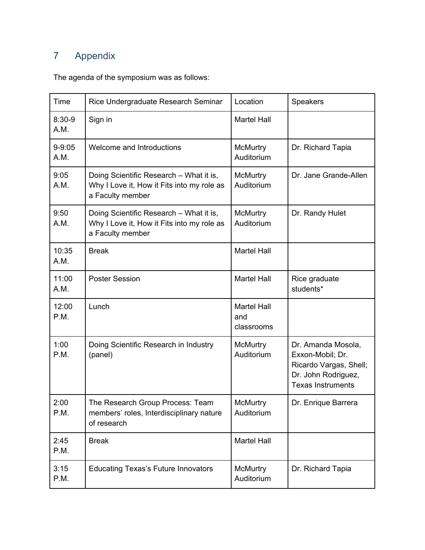# 7 Appendix

The agenda of the symposium was as follows:

| Time               | Rice Undergraduate Research Seminar                                                                       | Location                                | <b>Speakers</b>                                                                                                     |
|--------------------|-----------------------------------------------------------------------------------------------------------|-----------------------------------------|---------------------------------------------------------------------------------------------------------------------|
| $8:30-9$<br>A.M.   | Sign in                                                                                                   | <b>Martel Hall</b>                      |                                                                                                                     |
| $9 - 9:05$<br>A.M. | Welcome and Introductions                                                                                 | McMurtry<br>Auditorium                  | Dr. Richard Tapia                                                                                                   |
| 9:05<br>A.M.       | Doing Scientific Research - What it is,<br>Why I Love it, How it Fits into my role as<br>a Faculty member | McMurtry<br>Auditorium                  | Dr. Jane Grande-Allen                                                                                               |
| 9:50<br>A.M.       | Doing Scientific Research - What it is,<br>Why I Love it, How it Fits into my role as<br>a Faculty member | McMurtry<br>Auditorium                  | Dr. Randy Hulet                                                                                                     |
| 10:35<br>A.M.      | <b>Break</b>                                                                                              | <b>Martel Hall</b>                      |                                                                                                                     |
| 11:00<br>A.M.      | <b>Poster Session</b>                                                                                     | <b>Martel Hall</b>                      | Rice graduate<br>students*                                                                                          |
| 12:00<br>P.M.      | Lunch                                                                                                     | <b>Martel Hall</b><br>and<br>classrooms |                                                                                                                     |
| 1:00<br>P.M.       | Doing Scientific Research in Industry<br>(panel)                                                          | McMurtry<br>Auditorium                  | Dr. Amanda Mosola,<br>Exxon-Mobil; Dr.<br>Ricardo Vargas, Shell;<br>Dr. John Rodriguez,<br><b>Texas Instruments</b> |
| 2:00<br>P.M.       | The Research Group Process: Team<br>members' roles, Interdisciplinary nature<br>of research               | McMurtry<br>Auditorium                  | Dr. Enrique Barrera                                                                                                 |
| 2:45<br>P.M.       | <b>Break</b>                                                                                              | <b>Martel Hall</b>                      |                                                                                                                     |
| 3:15<br>P.M.       | <b>Educating Texas's Future Innovators</b>                                                                | McMurtry<br>Auditorium                  | Dr. Richard Tapia                                                                                                   |